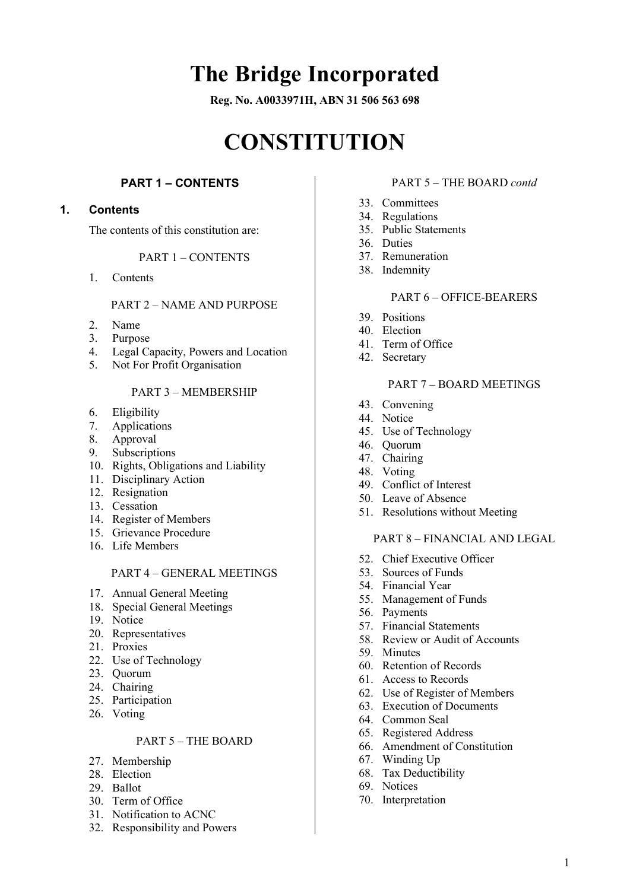# **The Bridge Incorporated**

**Reg. No. A0033971H, ABN 31 506 563 698**

# **CONSTITUTION**

# **PART 1 – CONTENTS**

#### <span id="page-0-1"></span><span id="page-0-0"></span>**1. Contents**

The contents of this constitution are:

#### PART 1 – [CONTENTS](#page-0-0)

1. [Contents](#page-0-1)

#### PART 2 – [NAME AND PURPOSE](#page-1-0)

- 2. [Name](#page-1-1)
- 3. [Purpose](#page-1-2)
- 4. [Legal Capacity, Powers and Location](#page-1-3)
- 5. [Not For Profit Organisation](#page-1-4)

# PART 3 – [MEMBERSHIP](#page-1-5)

- 6. [Eligibility](#page-1-6)
- 7. [Applications](#page-1-7)
- 8. [Approval](#page-2-0)
- 9. [Subscriptions](#page-2-1)
- 10. [Rights, Obligations and Liability](#page-2-2)
- 11. [Disciplinary Action](#page-2-3)
- 12. [Resignation](#page-3-0)
- 13. [Cessation](#page-3-1)
- 14. [Register of Members](#page-3-2)
- 15. [Grievance Procedure](#page-3-3)
- 16. [Life Members](#page-4-0)

#### PART 4 – [GENERAL MEETINGS](#page-4-1)

- 17. [Annual General Meeting](#page-4-2)
- 18. [Special General Meetings](#page-4-3)
- 19. [Notice](#page-5-0)
- 20. [Representatives](#page-5-1)
- 21. [Proxies](#page-6-0)
- 22. [Use of Technology](#page-6-1)
- 23. [Quorum](#page-6-2)
- 24. [Chairing](#page-6-3)
- 25. [Participation](#page-6-4)
- 26. [Voting](#page-6-5)

#### PART 5 – [THE BOARD](#page-7-0)

- 27. [Membership](#page-7-1)
- 28. [Election](#page-7-2)
- 29. [Ballot](#page-8-0)
- 30. [Term of Office](#page-8-1)
- 31. [Notification to ACNC](#page-9-0)
- 32. [Responsibility and Powers](#page-9-1)

#### PART 5 – [THE BOARD](#page-7-0) *contd*

- 33. [Committees](#page-9-2)
- 34. [Regulations](#page-9-3)
- 35. [Public Statements](#page-9-4)
- 36. [Duties](#page-9-5)
- 37. [Remuneration](#page-10-0)
- 38. [Indemnity](#page-10-1)

#### PART 6 – [OFFICE-BEARERS](#page-10-2)

- 39. [Positions](#page-10-3)
- 40. [Election](#page-10-4)
- 41. [Term of Office](#page-10-5)
- 42. [Secretary](#page-10-6)

#### PART 7 – [BOARD MEETINGS](#page-11-0)

- 43. [Convening](#page-11-1)
- 44. [Notice](#page-11-2)
- 45. [Use of Technology](#page-11-3)
- 46. [Quorum](#page-11-4)
- 47. [Chairing](#page-11-5)
- 48. [Voting](#page-11-6)
- 49. [Conflict of Interest](#page-11-7)
- 50. [Leave of Absence](#page-12-0)
- 51. [Resolutions without Meeting](#page-12-1)

#### PART 8 – [FINANCIAL AND LEGAL](#page-12-2)

- 52. [Chief Executive Officer](#page-12-3)
- 53. [Sources of Funds](#page-12-4)
- 54. [Financial Year](#page-12-5)
- 55. [Management of Funds](#page-12-6)
- 56. [Payments](#page-12-7)
- 57. [Financial Statements](#page-12-8)
- 58. [Review or Audit of Accounts](#page-13-0)
- 59. [Minutes](#page-14-0)
- 60. [Retention of Records](#page-14-1)
- 61. [Access to Records](#page-14-2)
- 62. Use [of Register of Members](#page-15-0)
- 63. [Execution of Documents](#page-15-1)
- 64. [Common Seal](#page-15-2)
- 65. [Registered Address](#page-15-3)
- 66. [Amendment of Constitution](#page-15-4)
- 67. [Winding Up](#page-15-5)
- 68. [Tax Deductibility](#page-16-0)
- 69. [Notices](#page-16-1)
- 70. [Interpretation](#page-16-2)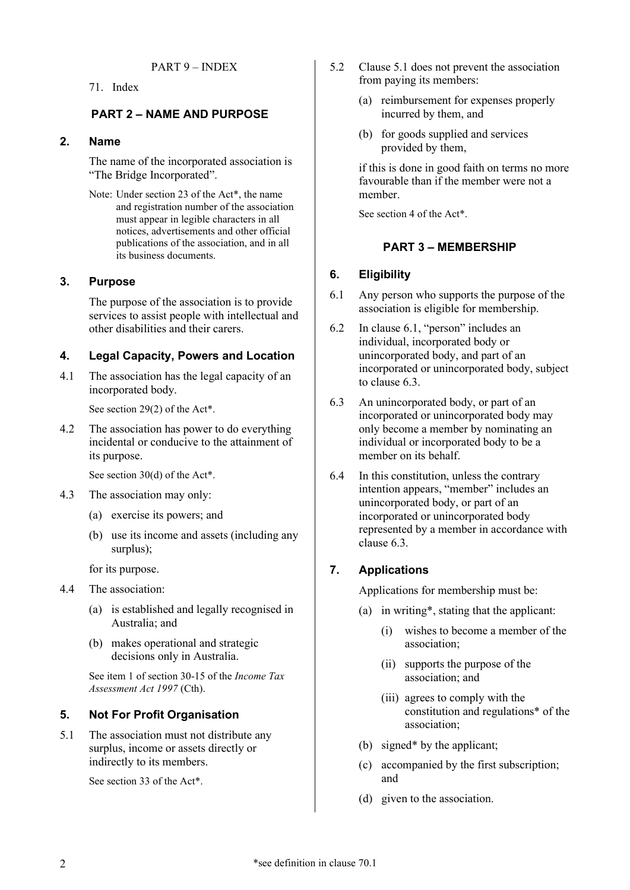<span id="page-1-0"></span>71. [Index](#page-17-1)

# **PART 2 – NAME AND PURPOSE**

#### <span id="page-1-1"></span>**2. Name**

The name of the incorporated association is "The Bridge Incorporated".

Note: Under section 23 of the [Act\\*](#page-17-2), the name and registration number of the association must appear in legible characters in all notices, advertisements and other official publications of the association, and in all its business documents.

# <span id="page-1-2"></span>**3. Purpose**

The purpose of the association is to provide services to assist people with intellectual and other disabilities and their carers.

# <span id="page-1-3"></span>**4. Legal Capacity, Powers and Location**

<span id="page-1-12"></span>4.1 The association has the legal capacity of an incorporated body.

See section 29(2) of th[e Act\\*](#page-17-2).

<span id="page-1-14"></span>4.2 The association has power to do everything incidental or conducive to the attainment of its purpose.

See section 30(d) of th[e Act\\*](#page-17-2).

- 4.3 The association may only:
	- (a) exercise its powers; and
	- (b) use its income and assets (including any surplus);

for its purpose.

- <span id="page-1-13"></span>4.4 The association:
	- (a) is established and legally recognised in Australia; and
	- (b) makes operational and strategic decisions only in Australia.

See item 1 of section 30-15 of the *Income Tax Assessment Act 1997* (Cth).

# <span id="page-1-4"></span>**5. Not For Profit Organisation**

<span id="page-1-8"></span>5.1 The association must not distribute any surplus, income or assets directly or indirectly to its members.

See section 33 of the [Act\\*](#page-17-2).

- 5.2 Clause [5.1](#page-1-8) does not prevent the association from paying its members:
	- (a) reimbursement for expenses properly incurred by them, and
	- (b) for goods supplied and services provided by them,

if this is done in good faith on terms no more favourable than if the member were not a member.

<span id="page-1-5"></span>See section 4 of the [Act\\*](#page-17-2).

# **PART 3 – MEMBERSHIP**

# <span id="page-1-6"></span>**6. Eligibility**

- <span id="page-1-9"></span>6.1 Any person who supports the purpose of the association is eligible for membership.
- 6.2 In clause [6.1,](#page-1-9) "person" includes an individual, incorporated body or unincorporated body, and part of an incorporated or unincorporated body, subject to clause [6.3.](#page-1-10)
- <span id="page-1-10"></span>6.3 An unincorporated body, or part of an incorporated or unincorporated body may only become a member by nominating an individual or incorporated body to be a member on its behalf.
- <span id="page-1-11"></span>6.4 In this constitution, unless the contrary intention appears, "member" includes an unincorporated body, or part of an incorporated or unincorporated body represented by a member in accordance with clause [6.3.](#page-1-10)

# <span id="page-1-7"></span>**7. Applications**

Applications for membership must be:

- (a) in [writing\\*](#page-17-3), stating that the applicant:
	- (i) wishes to become a member of the association;
	- (ii) supports the purpose of the association; and
	- (iii) agrees to comply with the constitution and [regulations\\*](#page-17-4) of the association;
- (b) [signed\\*](#page-17-5) by the applicant;
- (c) accompanied by the first subscription; and
- (d) given to the association.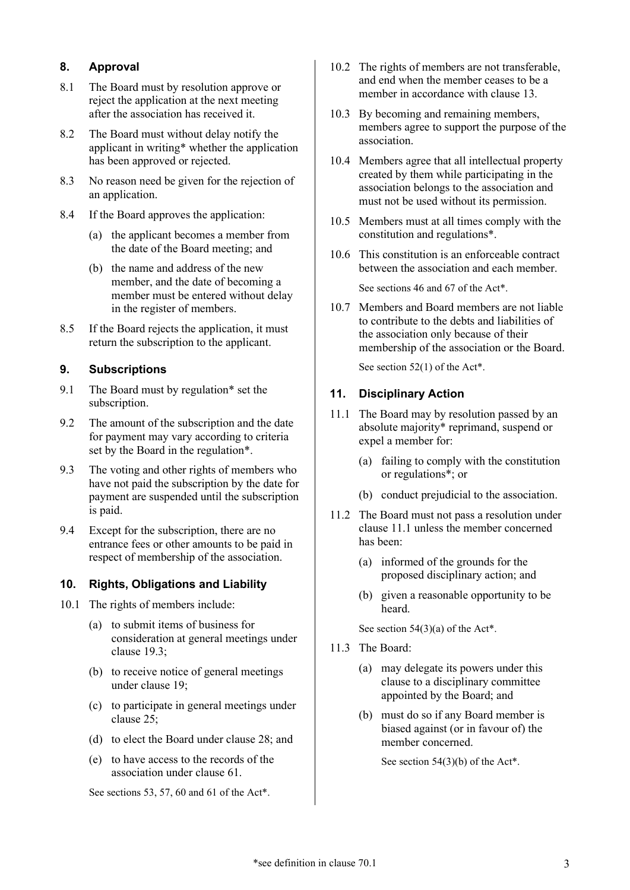# <span id="page-2-0"></span>**8. Approval**

- 8.1 The Board must by resolution approve or reject the application at the next meeting after the association has received it.
- 8.2 The Board must without delay notify the applicant in [writing\\*](#page-17-3) whether the application has been approved or rejected.
- 8.3 No reason need be given for the rejection of an application.
- 8.4 If the Board approves the application:
	- (a) the applicant becomes a member from the date of the Board meeting; and
	- (b) the name and address of the new member, and the date of becoming a member must be entered without delay in the register of members.
- 8.5 If the Board rejects the application, it must return the subscription to the applicant.

# <span id="page-2-1"></span>**9. Subscriptions**

- 9.1 The Board must by [regulation\\*](#page-17-6) set the subscription.
- 9.2 The amount of the subscription and the date for payment may vary according to criteria set by the Board in the [regulation\\*](#page-17-6).
- <span id="page-2-6"></span>9.3 The voting and other rights of members who have not paid the subscription by the date for payment are suspended until the subscription is paid.
- 9.4 Except for the subscription, there are no entrance fees or other amounts to be paid in respect of membership of the association.

# <span id="page-2-2"></span>**10. Rights, Obligations and Liability**

- <span id="page-2-10"></span>10.1 The rights of members include:
	- (a) to submit items of business for consideration at general meetings under clause [19.3;](#page-5-2)
	- (b) to receive notice of general meetings under clause [19;](#page-5-0)
	- (c) to participate in general meetings under clause [25;](#page-6-4)
	- (d) to elect the Board under clause [28;](#page-7-2) and
	- (e) to have access to the records of the association under clause [61.](#page-14-2)

See sections 53, 57, 60 and 61 of the [Act\\*](#page-17-2).

- <span id="page-2-11"></span>10.2 The rights of members are not transferable, and end when the member ceases to be a member in accordance with clause [13.](#page-3-1)
- <span id="page-2-8"></span>10.3 By becoming and remaining members, members agree to support the purpose of the association.
- 10.4 Members agree that all intellectual property created by them while participating in the association belongs to the association and must not be used without its permission.
- <span id="page-2-9"></span>10.5 Members must at all times comply with the constitution and [regulations\\*](#page-17-4).
- 10.6 This constitution is an enforceable contract between the association and each member.

See sections 46 and 67 of the [Act\\*](#page-17-2).

<span id="page-2-7"></span>10.7 Members and Board members are not liable to contribute to the debts and liabilities of the association only because of their membership of the association or the Board.

See section 52(1) of the [Act\\*](#page-17-2).

# <span id="page-2-3"></span>**11. Disciplinary Action**

- <span id="page-2-4"></span>11.1 The Board may by resolution passed by an [absolute majority\\*](#page-16-4) reprimand, suspend or expel a member for:
	- (a) failing to comply with the constitution or [regulations\\*](#page-17-4); or
	- (b) conduct prejudicial to the association.
- <span id="page-2-5"></span>11.2 The Board must not pass a resolution under clause [11.1](#page-2-4) unless the member concerned has been:
	- (a) informed of the grounds for the proposed disciplinary action; and
	- (b) given a reasonable opportunity to be heard.

See section  $54(3)(a)$  of the [Act\\*](#page-17-2).

- 11.3 The Board:
	- (a) may delegate its powers under this clause to a disciplinary committee appointed by the Board; and
	- (b) must do so if any Board member is biased against (or in favour of) the member concerned.

See section 54(3)(b) of th[e Act\\*](#page-17-2).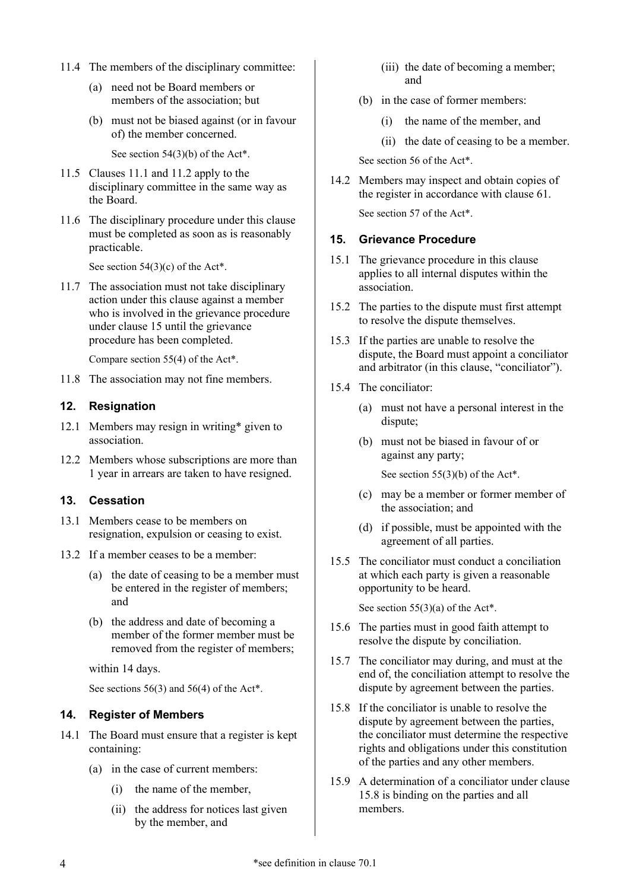- 11.4 The members of the disciplinary committee:
	- (a) need not be Board members or members of the association; but
	- (b) must not be biased against (or in favour of) the member concerned.

See section 54(3)(b) of th[e Act\\*](#page-17-2).

- 11.5 Clauses [11.1](#page-2-4) and [11.2](#page-2-5) apply to the disciplinary committee in the same way as the Board.
- 11.6 The disciplinary procedure under this clause must be completed as soon as is reasonably practicable.

See section  $54(3)(c)$  of the [Act\\*](#page-17-2).

11.7 The association must not take disciplinary action under this clause against a member who is involved in the grievance procedure under clause [15](#page-3-3) until the grievance procedure has been completed.

Compare section 55(4) of the [Act\\*](#page-17-2).

11.8 The association may not fine members.

# <span id="page-3-0"></span>**12. Resignation**

- 12.1 Members may resign in [writing\\*](#page-17-3) given to association.
- 12.2 Members whose subscriptions are more than 1 year in arrears are taken to have resigned.

# <span id="page-3-1"></span>**13. Cessation**

- 13.1 Members cease to be members on resignation, expulsion or ceasing to exist.
- 13.2 If a member ceases to be a member:
	- (a) the date of ceasing to be a member must be entered in the register of members; and
	- (b) the address and date of becoming a member of the former member must be removed from the register of members;

within 14 days.

See sections  $56(3)$  and  $56(4)$  of th[e Act\\*](#page-17-2).

# <span id="page-3-2"></span>**14. Register of Members**

- 14.1 The Board must ensure that a register is kept containing:
	- (a) in the case of current members:
		- (i) the name of the member,
		- (ii) the address for notices last given by the member, and
- (iii) the date of becoming a member; and
- (b) in the case of former members:
	- (i) the name of the member, and
	- (ii) the date of ceasing to be a member.

See section 56 of the [Act\\*](#page-17-2).

14.2 Members may inspect and obtain copies of the register in accordance with clause [61.](#page-14-2)

See section 57 of the [Act\\*](#page-17-2).

#### <span id="page-3-3"></span>**15. Grievance Procedure**

- 15.1 The grievance procedure in this clause applies to all internal disputes within the association.
- 15.2 The parties to the dispute must first attempt to resolve the dispute themselves.
- 15.3 If the parties are unable to resolve the dispute, the Board must appoint a conciliator and arbitrator (in this clause, "conciliator").
- 15.4 The conciliator:
	- (a) must not have a personal interest in the dispute;
	- (b) must not be biased in favour of or against any party;

See section 55(3)(b) of th[e Act\\*](#page-17-2).

- (c) may be a member or former member of the association; and
- (d) if possible, must be appointed with the agreement of all parties.
- 15.5 The conciliator must conduct a conciliation at which each party is given a reasonable opportunity to be heard.

See section 55(3)(a) of the [Act\\*](#page-17-2).

- 15.6 The parties must in good faith attempt to resolve the dispute by conciliation.
- 15.7 The conciliator may during, and must at the end of, the conciliation attempt to resolve the dispute by agreement between the parties.
- <span id="page-3-4"></span>15.8 If the conciliator is unable to resolve the dispute by agreement between the parties, the conciliator must determine the respective rights and obligations under this constitution of the parties and any other members.
- 15.9 A determination of a conciliator under clause [15.8](#page-3-4) is binding on the parties and all members.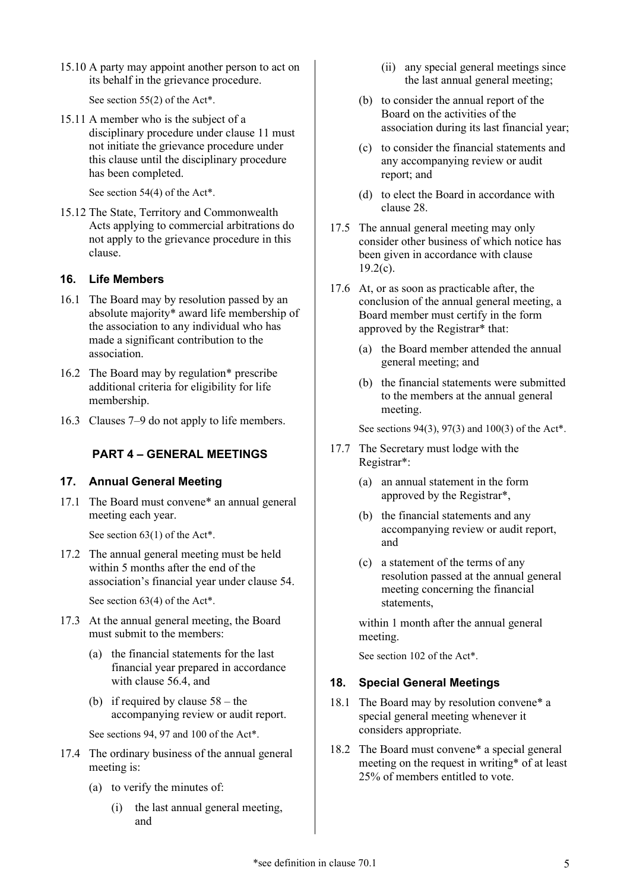15.10 A party may appoint another person to act on its behalf in the grievance procedure.

See section 55(2) of th[e Act\\*](#page-17-2).

15.11 A member who is the subject of a disciplinary procedure under clause [11](#page-2-3) must not initiate the grievance procedure under this clause until the disciplinary procedure has been completed.

See section 54(4) of th[e Act\\*](#page-17-2).

15.12 The State, Territory and Commonwealth Acts applying to commercial arbitrations do not apply to the grievance procedure in this clause.

# <span id="page-4-0"></span>**16. Life Members**

- 16.1 The Board may by resolution passed by an [absolute majority\\*](#page-16-4) award life membership of the association to any individual who has made a significant contribution to the association.
- 16.2 The Board may by [regulation\\*](#page-17-6) prescribe additional criteria for eligibility for life membership.
- <span id="page-4-1"></span>16.3 Clauses [7–](#page-1-7)[9](#page-2-1) do not apply to life members.

# **PART 4 – GENERAL MEETINGS**

# <span id="page-4-2"></span>**17. Annual General Meeting**

<span id="page-4-8"></span>17.1 The Board must [convene\\*](#page-17-7) an annual general meeting each year.

See section 63(1) of th[e Act\\*](#page-17-2).

17.2 The annual general meeting must be held within 5 months after the end of the association's financial year under clause [54.](#page-12-5)

See section 63(4) of th[e Act\\*](#page-17-2).

- <span id="page-4-6"></span><span id="page-4-4"></span>17.3 At the annual general meeting, the Board must submit to the members:
	- (a) the financial statements for the last financial year prepared in accordance with clause [56.4,](#page-12-9) and
	- (b) if required by clause  $58 -$  the accompanying review or audit report.

<span id="page-4-5"></span>See sections 94, 97 and 100 of the [Act\\*](#page-17-2).

- 17.4 The ordinary business of the annual general meeting is:
	- (a) to verify the minutes of:
		- (i) the last annual general meeting, and
- (ii) any special general meetings since the last annual general meeting;
- (b) to consider the annual report of the Board on the activities of the association during its last financial year;
- (c) to consider the financial statements and any accompanying review or audit report; and
- (d) to elect the Board in accordance with clause [28.](#page-7-2)
- 17.5 The annual general meeting may only consider other business of which notice has been given in accordance with clause  $19.2(c)$ .
- <span id="page-4-7"></span>17.6 At, or as soon as practicable after, the conclusion of the annual general meeting, a Board member must certify in the form approved by the [Registrar\\*](#page-17-8) that:
	- (a) the Board member attended the annual general meeting; and
	- (b) the financial statements were submitted to the members at the annual general meeting.

See sections 94(3), 97(3) and 100(3) of the [Act\\*](#page-17-2).

- <span id="page-4-9"></span>17.7 The Secretary must lodge with the [Registrar\\*](#page-17-8):
	- (a) an annual statement in the form approved by the [Registrar\\*](#page-17-8),
	- (b) the financial statements and any accompanying review or audit report, and
	- (c) a statement of the terms of any resolution passed at the annual general meeting concerning the financial statements,

within 1 month after the annual general meeting.

See section 102 of the [Act\\*](#page-17-2).

# <span id="page-4-3"></span>**18. Special General Meetings**

- 18.1 The Board may by resolution [convene\\*](#page-17-7) a special general meeting whenever it considers appropriate.
- 18.2 The Board must [convene\\*](#page-17-7) a special general meeting on the request in [writing\\*](#page-17-3) of at least 25% of members entitled to vote.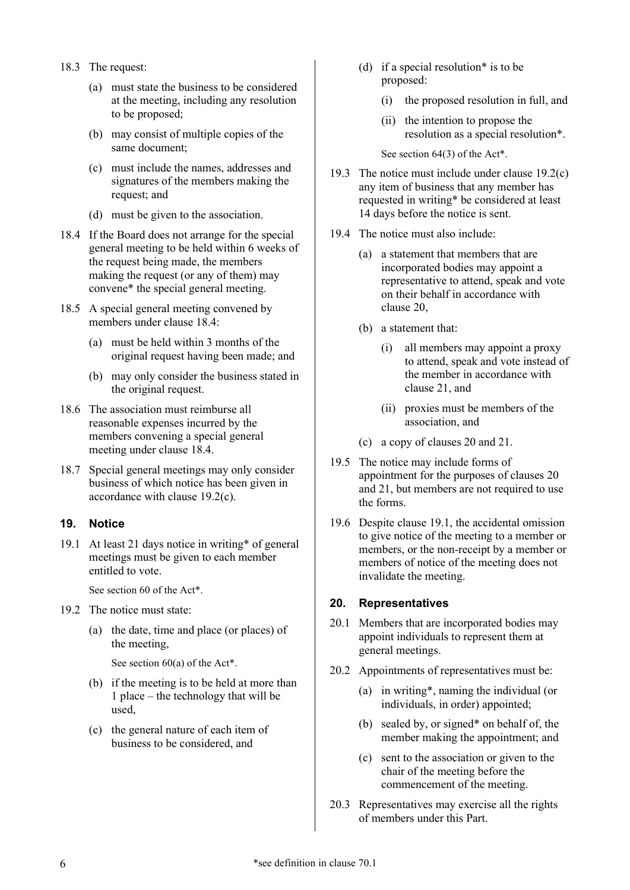- 18.3 The request:
	- (a) must state the business to be considered at the meeting, including any resolution to be proposed;
	- (b) may consist of multiple copies of the same document;
	- (c) must include the names, addresses and signatures of the members making the request; and
	- (d) must be given to the association.
- <span id="page-5-4"></span>18.4 If the Board does not arrange for the special general meeting to be held within 6 weeks of the request being made, the members making the request (or any of them) may [convene\\*](#page-17-7) the special general meeting.
- 18.5 A special general meeting convened by members under clause [18.4:](#page-5-4)
	- (a) must be held within 3 months of the original request having been made; and
	- (b) may only consider the business stated in the original request.
- 18.6 The association must reimburse all reasonable expenses incurred by the members convening a special general meeting under clause [18.4.](#page-5-4)
- 18.7 Special general meetings may only consider business of which notice has been given in accordance with clause [19.2\(c\).](#page-5-3)

#### <span id="page-5-0"></span>**19. Notice**

<span id="page-5-5"></span>19.1 At least 21 days notice in [writing\\*](#page-17-3) of general meetings must be given to each member entitled to vote.

See section 60 of the [Act\\*](#page-17-2).

- 19.2 The notice must state:
	- (a) the date, time and place (or places) of the meeting,

See section  $60(a)$  of the [Act\\*](#page-17-2).

- (b) if the meeting is to be held at more than 1 place – the technology that will be used,
- <span id="page-5-3"></span>(c) the general nature of each item of business to be considered, and
- (d) if a [special resolution\\*](#page-17-9) is to be proposed:
	- (i) the proposed resolution in full, and
	- (ii) the intention to propose the resolution as a [special resolution\\*](#page-17-9).

See section 64(3) of the [Act\\*](#page-17-2).

- <span id="page-5-2"></span>19.3 The notice must include under clause [19.2\(c\)](#page-5-3) any item of business that any member has requested in [writing\\*](#page-17-3) be considered at least 14 days before the notice is sent.
- 19.4 The notice must also include:
	- (a) a statement that members that are incorporated bodies may appoint a representative to attend, speak and vote on their behalf in accordance with clause [20,](#page-5-1)
	- (b) a statement that:
		- (i) all members may appoint a proxy to attend, speak and vote instead of the member in accordance with clause [21,](#page-6-0) and
		- (ii) proxies must be members of the association, and
	- (c) a copy of clauses [20](#page-5-1) and [21.](#page-6-0)
- 19.5 The notice may include forms of appointment for the purposes of clauses [20](#page-5-1) and [21,](#page-6-0) but members are not required to use the forms.
- 19.6 Despite clause [19.1,](#page-5-5) the accidental omission to give notice of the meeting to a member or members, or the non-receipt by a member or members of notice of the meeting does not invalidate the meeting.

# <span id="page-5-1"></span>**20. Representatives**

- 20.1 Members that are incorporated bodies may appoint individuals to represent them at general meetings.
- 20.2 Appointments of representatives must be:
	- (a) in [writing\\*](#page-17-3), naming the individual (or individuals, in order) appointed;
	- (b) sealed by, or [signed\\*](#page-17-5) on behalf of, the member making the appointment; and
	- (c) sent to the association or given to the chair of the meeting before the commencement of the meeting.
- <span id="page-5-6"></span>20.3 Representatives may exercise all the rights of members under this Part.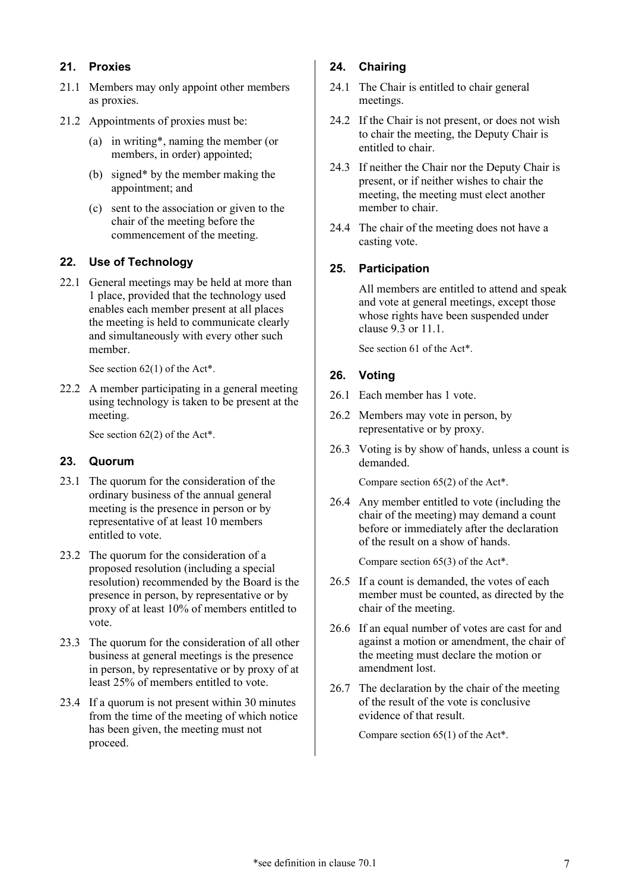# <span id="page-6-0"></span>**21. Proxies**

- 21.1 Members may only appoint other members as proxies.
- 21.2 Appointments of proxies must be:
	- (a) in [writing\\*](#page-17-3), naming the member (or members, in order) appointed;
	- (b) [signed\\*](#page-17-5) by the member making the appointment; and
	- (c) sent to the association or given to the chair of the meeting before the commencement of the meeting.

# <span id="page-6-1"></span>**22. Use of Technology**

22.1 General meetings may be held at more than 1 place, provided that the technology used enables each member present at all places the meeting is held to communicate clearly and simultaneously with every other such member.

See section 62(1) of th[e Act\\*](#page-17-2).

<span id="page-6-8"></span>22.2 A member participating in a general meeting using technology is taken to be present at the meeting.

See section 62(2) of th[e Act\\*](#page-17-2).

# <span id="page-6-2"></span>**23. Quorum**

- 23.1 The quorum for the consideration of the ordinary business of the annual general meeting is the presence in person or by representative of at least 10 members entitled to vote.
- 23.2 The quorum for the consideration of a proposed resolution (including a special resolution) recommended by the Board is the presence in person, by representative or by proxy of at least 10% of members entitled to vote.
- 23.3 The quorum for the consideration of all other business at general meetings is the presence in person, by representative or by proxy of at least 25% of members entitled to vote.
- 23.4 If a quorum is not present within 30 minutes from the time of the meeting of which notice has been given, the meeting must not proceed.

# <span id="page-6-3"></span>**24. Chairing**

- <span id="page-6-6"></span>24.1 The Chair is entitled to chair general meetings.
- <span id="page-6-7"></span>24.2 If the Chair is not present, or does not wish to chair the meeting, the Deputy Chair is entitled to chair.
- 24.3 If neither the Chair nor the Deputy Chair is present, or if neither wishes to chair the meeting, the meeting must elect another member to chair.
- 24.4 The chair of the meeting does not have a casting vote.

# <span id="page-6-4"></span>**25. Participation**

All members are entitled to attend and speak and vote at general meetings, except those whose rights have been suspended under clause [9.3](#page-2-6) or [11.1.](#page-2-4)

See section 61 of the [Act\\*](#page-17-2).

# <span id="page-6-5"></span>**26. Voting**

- 26.1 Each member has 1 vote.
- 26.2 Members may vote in person, by representative or by proxy.
- 26.3 Voting is by show of hands, unless a count is demanded.

Compare section 65(2) of the [Act\\*](#page-17-2).

26.4 Any member entitled to vote (including the chair of the meeting) may demand a count before or immediately after the declaration of the result on a show of hands.

Compare section 65(3) of the [Act\\*](#page-17-2).

- 26.5 If a count is demanded, the votes of each member must be counted, as directed by the chair of the meeting.
- 26.6 If an equal number of votes are cast for and against a motion or amendment, the chair of the meeting must declare the motion or amendment lost.
- 26.7 The declaration by the chair of the meeting of the result of the vote is conclusive evidence of that result.

Compare section 65(1) of the [Act\\*](#page-17-2).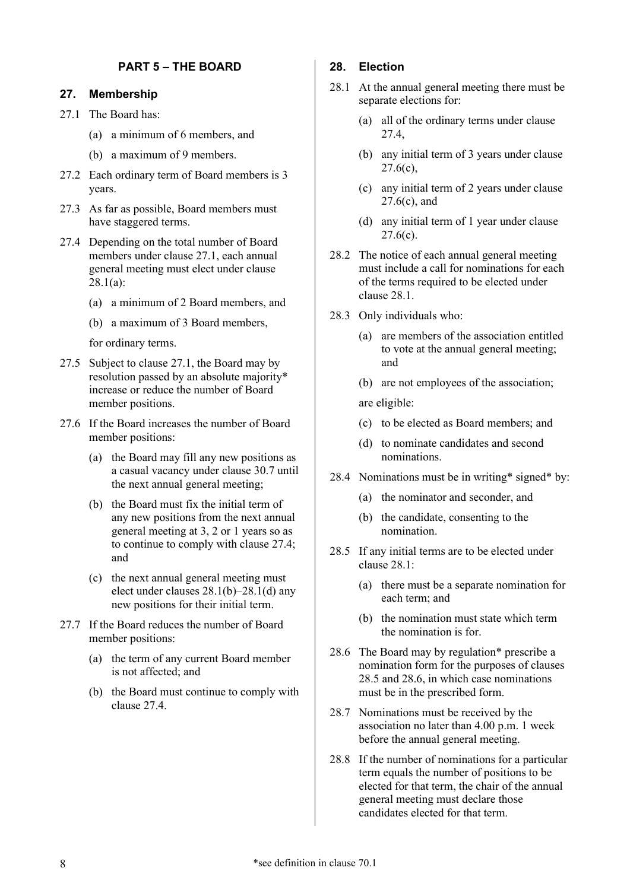# **PART 5 – THE BOARD**

#### <span id="page-7-1"></span><span id="page-7-0"></span>**27. Membership**

<span id="page-7-3"></span>27.1 The Board has:

- (a) a minimum of 6 members, and
- (b) a maximum of 9 members.
- <span id="page-7-12"></span>27.2 Each ordinary term of Board members is 3 years.
- 27.3 As far as possible, Board members must have staggered terms.
- <span id="page-7-5"></span>27.4 Depending on the total number of Board members under clause [27.1,](#page-7-3) each annual general meeting must elect under clause [28.1\(a\):](#page-7-4)
	- (a) a minimum of 2 Board members, and
	- (b) a maximum of 3 Board members,

for ordinary terms.

- 27.5 Subject to clause [27.1,](#page-7-3) the Board may by resolution passed by an [absolute majority\\*](#page-16-4) increase or reduce the number of Board member positions.
- <span id="page-7-13"></span>27.6 If the Board increases the number of Board member positions:
	- (a) the Board may fill any new positions as a casual vacancy under clause [30.7](#page-9-6) until the next annual general meeting;
	- (b) the Board must fix the initial term of any new positions from the next annual general meeting at 3, 2 or 1 years so as to continue to comply with clause [27.4;](#page-7-5) and
	- (c) the next annual general meeting must elect under clauses [28.1\(b\)–](#page-7-6)[28.1\(d\)](#page-7-7) any new positions for their initial term.
- <span id="page-7-8"></span>27.7 If the Board reduces the number of Board member positions:
	- (a) the term of any current Board member is not affected; and
	- (b) the Board must continue to comply with clause [27.4.](#page-7-5)

#### <span id="page-7-2"></span>**28. Election**

- <span id="page-7-9"></span><span id="page-7-6"></span><span id="page-7-4"></span>28.1 At the annual general meeting there must be separate elections for:
	- (a) all of the ordinary terms under clause [27.4,](#page-7-5)
	- (b) any initial term of 3 years under clause  $27.6(c)$ ,
	- (c) any initial term of 2 years under clause  $27.6(c)$ , and
	- (d) any initial term of 1 year under clause  $27.6(c)$ .
- <span id="page-7-7"></span>28.2 The notice of each annual general meeting must include a call for nominations for each of the terms required to be elected under clause [28.1.](#page-7-9)
- <span id="page-7-14"></span>28.3 Only individuals who:
	- (a) are members of the association entitled to vote at the annual general meeting; and
	- (b) are not employees of the association;

are eligible:

- (c) to be elected as Board members; and
- (d) to nominate candidates and second nominations.
- <span id="page-7-10"></span>28.4 Nominations must be in [writing\\*](#page-17-3) [signed\\*](#page-17-5) by:
	- (a) the nominator and seconder, and
	- (b) the candidate, consenting to the nomination.
- <span id="page-7-11"></span>28.5 If any initial terms are to be elected under clause [28.1:](#page-7-9)
	- (a) there must be a separate nomination for each term; and
	- (b) the nomination must state which term the nomination is for.
- 28.6 The Board may by [regulation\\*](#page-17-6) prescribe a nomination form for the purposes of clauses [28.5](#page-7-10) and [28.6,](#page-7-11) in which case nominations must be in the prescribed form.
- 28.7 Nominations must be received by the association no later than 4.00 p.m. 1 week before the annual general meeting.
- 28.8 If the number of nominations for a particular term equals the number of positions to be elected for that term, the chair of the annual general meeting must declare those candidates elected for that term.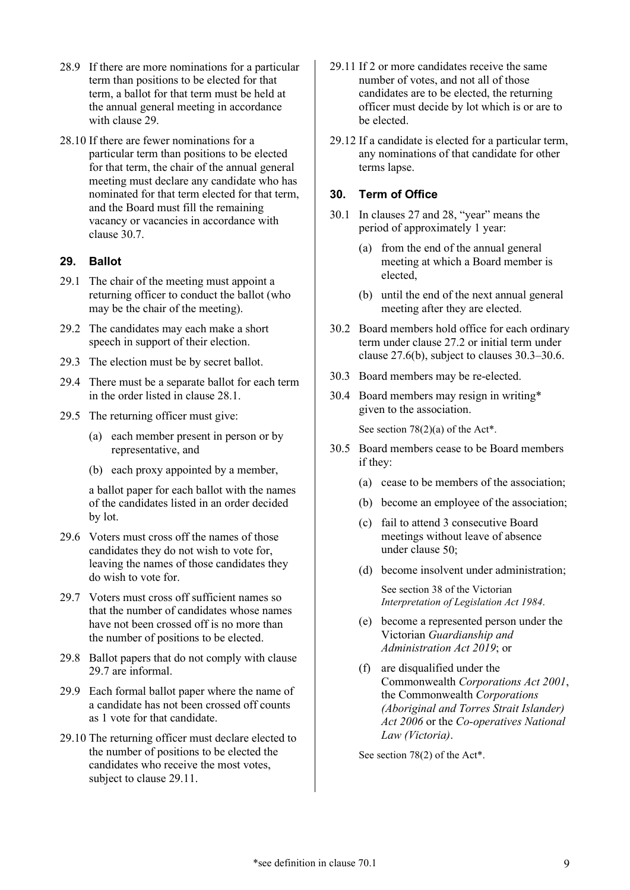- 28.9 If there are more nominations for a particular term than positions to be elected for that term, a ballot for that term must be held at the annual general meeting in accordance with claus[e 29.](#page-8-0)
- 28.10 If there are fewer nominations for a particular term than positions to be elected for that term, the chair of the annual general meeting must declare any candidate who has nominated for that term elected for that term, and the Board must fill the remaining vacancy or vacancies in accordance with clause [30.7.](#page-9-6)

#### <span id="page-8-0"></span>**29. Ballot**

- 29.1 The chair of the meeting must appoint a returning officer to conduct the ballot (who may be the chair of the meeting).
- 29.2 The candidates may each make a short speech in support of their election.
- 29.3 The election must be by secret ballot.
- 29.4 There must be a separate ballot for each term in the order listed in clause [28.1.](#page-7-9)
- 29.5 The returning officer must give:
	- (a) each member present in person or by representative, and
	- (b) each proxy appointed by a member,

a ballot paper for each ballot with the names of the candidates listed in an order decided by lot.

- 29.6 Voters must cross off the names of those candidates they do not wish to vote for, leaving the names of those candidates they do wish to vote for.
- <span id="page-8-2"></span>29.7 Voters must cross off sufficient names so that the number of candidates whose names have not been crossed off is no more than the number of positions to be elected.
- 29.8 Ballot papers that do not comply with clause [29.7](#page-8-2) are informal.
- 29.9 Each formal ballot paper where the name of a candidate has not been crossed off counts as 1 vote for that candidate.
- 29.10 The returning officer must declare elected to the number of positions to be elected the candidates who receive the most votes, subject to clause [29.11.](#page-8-3)
- <span id="page-8-3"></span>29.11 If 2 or more candidates receive the same number of votes, and not all of those candidates are to be elected, the returning officer must decide by lot which is or are to be elected.
- 29.12 If a candidate is elected for a particular term, any nominations of that candidate for other terms lapse.

#### <span id="page-8-1"></span>**30. Term of Office**

- 30.1 In clause[s 27](#page-7-1) and [28,](#page-7-2) "year" means the period of approximately 1 year:
	- (a) from the end of the annual general meeting at which a Board member is elected,
	- (b) until the end of the next annual general meeting after they are elected.
- 30.2 Board members hold office for each ordinary term under clause [27.2](#page-7-12) or initial term under clause [27.6\(b\),](#page-7-13) subject to clauses [30.3](#page-8-4)[–30.6.](#page-9-7)
- <span id="page-8-4"></span>30.3 Board members may be re-elected.
- <span id="page-8-5"></span>30.4 Board members may resign in [writing\\*](#page-17-3) given to the association.

See section 78(2)(a) of the [Act\\*](#page-17-2).

- 30.5 Board members cease to be Board members if they:
	- (a) cease to be members of the association;
	- (b) become an employee of the association;
	- (c) fail to attend 3 consecutive Board meetings without leave of absence under clause [50;](#page-12-0)
	- (d) become insolvent under administration;

See section 38 of the Victorian *Interpretation of Legislation Act 1984*.

- (e) become a represented person under the Victorian *Guardianship and Administration Act 2019*; or
- (f) are disqualified under the Commonwealth *Corporations Act 2001*, the Commonwealth *Corporations (Aboriginal and Torres Strait Islander) Act 2006* or the *Co-operatives National Law (Victoria)*.

See section 78(2) of the [Act\\*](#page-17-2).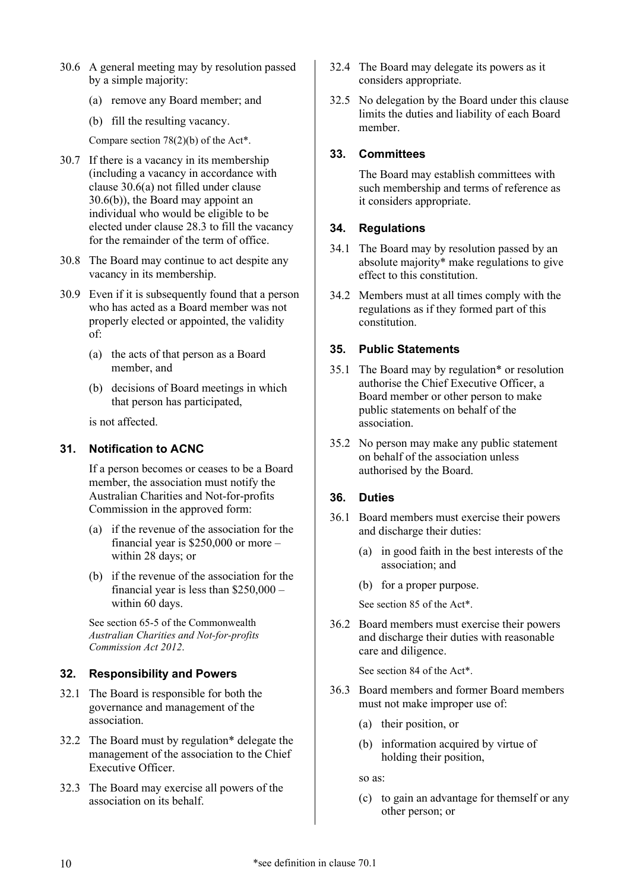- <span id="page-9-8"></span><span id="page-9-7"></span>30.6 A general meeting may by resolution passed by a simple majority:
	- (a) remove any Board member; and
	- (b) fill the resulting vacancy.

<span id="page-9-9"></span>Compare section 78(2)(b) of the [Act\\*](#page-17-2).

- <span id="page-9-6"></span>30.7 If there is a vacancy in its membership (including a vacancy in accordance with clause [30.6\(a\)](#page-9-8) not filled under clause [30.6\(b\)\)](#page-9-9), the Board may appoint an individual who would be eligible to be elected under clause [28.3](#page-7-14) to fill the vacancy for the remainder of the term of office.
- 30.8 The Board may continue to act despite any vacancy in its membership.
- 30.9 Even if it is subsequently found that a person who has acted as a Board member was not properly elected or appointed, the validity of:
	- (a) the acts of that person as a Board member, and
	- (b) decisions of Board meetings in which that person has participated,

is not affected.

# <span id="page-9-0"></span>**31. Notification to ACNC**

If a person becomes or ceases to be a Board member, the association must notify the Australian Charities and Not-for-profits Commission in the approved form:

- (a) if the revenue of the association for the financial year is \$250,000 or more – within 28 days; or
- (b) if the revenue of the association for the financial year is less than \$250,000 – within 60 days.

See section 65-5 of the Commonwealth *Australian Charities and Not-for-profits Commission Act 2012*.

# <span id="page-9-1"></span>**32. Responsibility and Powers**

- <span id="page-9-14"></span>32.1 The Board is responsible for both the governance and management of the association.
- <span id="page-9-10"></span>32.2 The Board must by [regulation\\*](#page-17-6) delegate the management of the association to the Chief Executive Officer.
- <span id="page-9-12"></span>32.3 The Board may exercise all powers of the association on its behalf.
- <span id="page-9-13"></span>32.4 The Board may delegate its powers as it considers appropriate.
- 32.5 No delegation by the Board under this clause limits the duties and liability of each Board member.

# <span id="page-9-2"></span>**33. Committees**

The Board may establish committees with such membership and terms of reference as it considers appropriate.

# <span id="page-9-3"></span>**34. Regulations**

- 34.1 The Board may by resolution passed by an [absolute majority\\*](#page-16-4) make regulations to give effect to this constitution.
- 34.2 Members must at all times comply with the regulations as if they formed part of this constitution.

# <span id="page-9-4"></span>**35. Public Statements**

- <span id="page-9-11"></span>35.1 The Board may by [regulation\\*](#page-17-6) or resolution authorise the Chief Executive Officer, a Board member or other person to make public statements on behalf of the association.
- 35.2 No person may make any public statement on behalf of the association unless authorised by the Board.

# <span id="page-9-5"></span>**36. Duties**

- 36.1 Board members must exercise their powers and discharge their duties:
	- (a) in good faith in the best interests of the association; and
	- (b) for a proper purpose.

See section 85 of the [Act\\*](#page-17-2).

36.2 Board members must exercise their powers and discharge their duties with reasonable care and diligence.

See section 84 of the [Act\\*](#page-17-2).

- 36.3 Board members and former Board members must not make improper use of:
	- (a) their position, or
	- (b) information acquired by virtue of holding their position,

so as:

(c) to gain an advantage for themself or any other person; or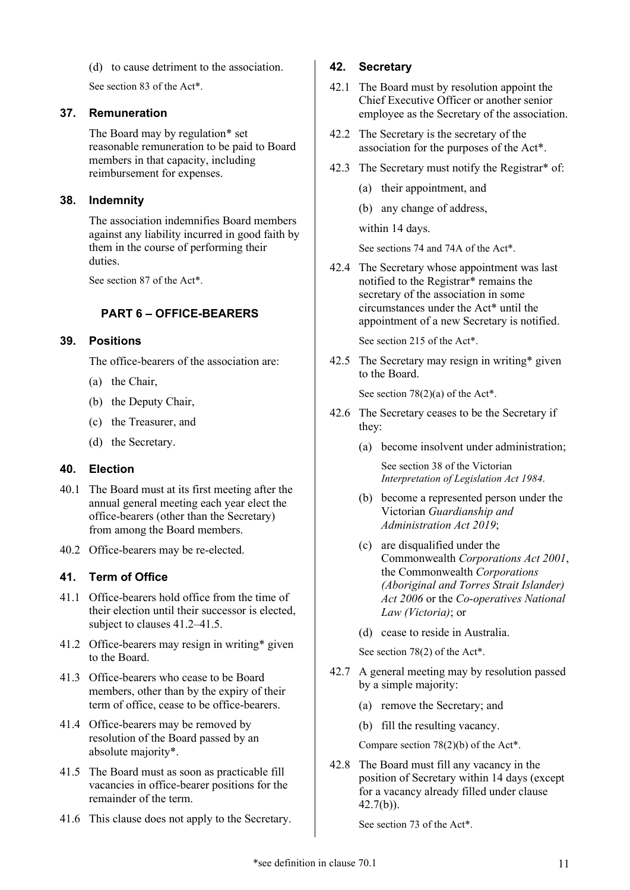(d) to cause detriment to the association.

See section 83 of the [Act\\*](#page-17-2).

#### <span id="page-10-0"></span>**37. Remuneration**

The Board may by [regulation\\*](#page-17-6) set reasonable remuneration to be paid to Board members in that capacity, including reimbursement for expenses.

# <span id="page-10-1"></span>**38. Indemnity**

The association indemnifies Board members against any liability incurred in good faith by them in the course of performing their duties.

<span id="page-10-2"></span>See section 87 of the [Act\\*](#page-17-2).

# **PART 6 – OFFICE-BEARERS**

# <span id="page-10-3"></span>**39. Positions**

The office-bearers of the association are:

- <span id="page-10-10"></span>(a) the Chair,
- <span id="page-10-11"></span>(b) the Deputy Chair,
- <span id="page-10-14"></span>(c) the Treasurer, and
- (d) the Secretary.

# <span id="page-10-13"></span><span id="page-10-4"></span>**40. Election**

- 40.1 The Board must at its first meeting after the annual general meeting each year elect the office-bearers (other than the Secretary) from among the Board members.
- 40.2 Office-bearers may be re-elected.

# <span id="page-10-5"></span>**41. Term of Office**

- 41.1 Office-bearers hold office from the time of their election until their successor is elected, subject to clauses [41.2](#page-10-7)[–41.5.](#page-10-8)
- <span id="page-10-7"></span>41.2 Office-bearers may resign in [writing\\*](#page-17-3) given to the Board.
- 41.3 Office-bearers who cease to be Board members, other than by the expiry of their term of office, cease to be office-bearers.
- <span id="page-10-12"></span>41.4 Office-bearers may be removed by resolution of the Board passed by an [absolute majority\\*](#page-16-4).
- <span id="page-10-8"></span>41.5 The Board must as soon as practicable fill vacancies in office-bearer positions for the remainder of the term.
- 41.6 This clause does not apply to the Secretary.

# <span id="page-10-6"></span>**42. Secretary**

- 42.1 The Board must by resolution appoint the Chief Executive Officer or another senior employee as the Secretary of the association.
- 42.2 The Secretary is the secretary of the association for the purposes of the [Act\\*](#page-17-2).
- 42.3 The Secretary must notify the [Registrar\\*](#page-17-8) of:
	- (a) their appointment, and
	- (b) any change of address,

within 14 days.

See sections 74 and 74A of th[e Act\\*](#page-17-2).

42.4 The Secretary whose appointment was last notified to the [Registrar\\*](#page-17-8) remains the secretary of the association in some circumstances under the [Act\\*](#page-17-2) until the appointment of a new Secretary is notified.

See section 215 of the [Act\\*](#page-17-2).

42.5 The Secretary may resign in [writing\\*](#page-17-3) given to the Board.

See section 78(2)(a) of the [Act\\*](#page-17-2).

- 42.6 The Secretary ceases to be the Secretary if they:
	- (a) become insolvent under administration;

See section 38 of the Victorian *Interpretation of Legislation Act 1984*.

- (b) become a represented person under the Victorian *Guardianship and Administration Act 2019*;
- (c) are disqualified under the Commonwealth *Corporations Act 2001*, the Commonwealth *Corporations (Aboriginal and Torres Strait Islander) Act 2006* or the *Co-operatives National Law (Victoria)*; or
- (d) cease to reside in Australia.

See section 78(2) of the [Act\\*](#page-17-2).

- 42.7 A general meeting may by resolution passed by a simple majority:
	- (a) remove the Secretary; and
	- (b) fill the resulting vacancy.

<span id="page-10-9"></span>Compare section 78(2)(b) of th[e Act\\*](#page-17-2).

42.8 The Board must fill any vacancy in the position of Secretary within 14 days (except for a vacancy already filled under clause [42.7\(b\)\)](#page-10-9).

See section 73 of the [Act\\*](#page-17-2).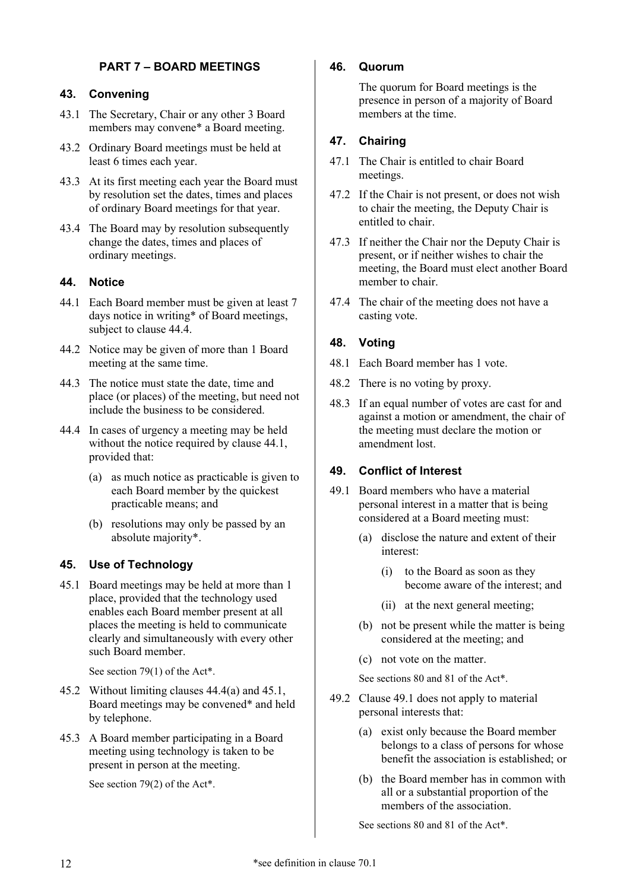# **PART 7 – BOARD MEETINGS**

# <span id="page-11-1"></span><span id="page-11-0"></span>**43. Convening**

- <span id="page-11-15"></span>43.1 The Secretary, Chair or any other 3 Board members may [convene\\*](#page-17-7) a Board meeting.
- 43.2 Ordinary Board meetings must be held at least 6 times each year.
- 43.3 At its first meeting each year the Board must by resolution set the dates, times and places of ordinary Board meetings for that year.
- 43.4 The Board may by resolution subsequently change the dates, times and places of ordinary meetings.

# <span id="page-11-2"></span>**44. Notice**

- <span id="page-11-9"></span>44.1 Each Board member must be given at least 7 days notice in [writing\\*](#page-17-3) of Board meetings, subject to clause [44.4.](#page-11-8)
- 44.2 Notice may be given of more than 1 Board meeting at the same time.
- 44.3 The notice must state the date, time and place (or places) of the meeting, but need not include the business to be considered.
- <span id="page-11-10"></span><span id="page-11-8"></span>44.4 In cases of urgency a meeting may be held without the notice required by clause [44.1,](#page-11-9) provided that:
	- (a) as much notice as practicable is given to each Board member by the quickest practicable means; and
	- (b) resolutions may only be passed by an [absolute majority\\*](#page-16-4).

# <span id="page-11-3"></span>**45. Use of Technology**

<span id="page-11-11"></span>45.1 Board meetings may be held at more than 1 place, provided that the technology used enables each Board member present at all places the meeting is held to communicate clearly and simultaneously with every other such Board member.

See section 79(1) of th[e Act\\*](#page-17-2).

- 45.2 Without limiting clauses [44.4\(a\)](#page-11-10) and [45.1,](#page-11-11) Board meetings may be [convened](#page-17-7)\* and held by telephone.
- <span id="page-11-14"></span>45.3 A Board member participating in a Board meeting using technology is taken to be present in person at the meeting.

See section 79(2) of th[e Act\\*](#page-17-2).

# <span id="page-11-4"></span>**46. Quorum**

The quorum for Board meetings is the presence in person of a majority of Board members at the time.

# <span id="page-11-5"></span>**47. Chairing**

- <span id="page-11-16"></span>47.1 The Chair is entitled to chair Board meetings.
- <span id="page-11-17"></span>47.2 If the Chair is not present, or does not wish to chair the meeting, the Deputy Chair is entitled to chair.
- 47.3 If neither the Chair nor the Deputy Chair is present, or if neither wishes to chair the meeting, the Board must elect another Board member to chair.
- 47.4 The chair of the meeting does not have a casting vote.

# <span id="page-11-6"></span>**48. Voting**

- 48.1 Each Board member has 1 vote.
- <span id="page-11-18"></span>48.2 There is no voting by proxy.
- 48.3 If an equal number of votes are cast for and against a motion or amendment, the chair of the meeting must declare the motion or amendment lost.

# <span id="page-11-7"></span>**49. Conflict of Interest**

- <span id="page-11-12"></span>49.1 Board members who have a material personal interest in a matter that is being considered at a Board meeting must:
	- (a) disclose the nature and extent of their interest:
		- (i) to the Board as soon as they become aware of the interest; and
		- (ii) at the next general meeting;
	- (b) not be present while the matter is being considered at the meeting; and
	- (c) not vote on the matter.

<span id="page-11-13"></span>See sections 80 and 81 of the [Act\\*](#page-17-2).

- 49.2 Clause [49.1](#page-11-12) does not apply to material personal interests that:
	- (a) exist only because the Board member belongs to a class of persons for whose benefit the association is established; or
	- (b) the Board member has in common with all or a substantial proportion of the members of the association.

See sections 80 and 81 of the [Act\\*](#page-17-2).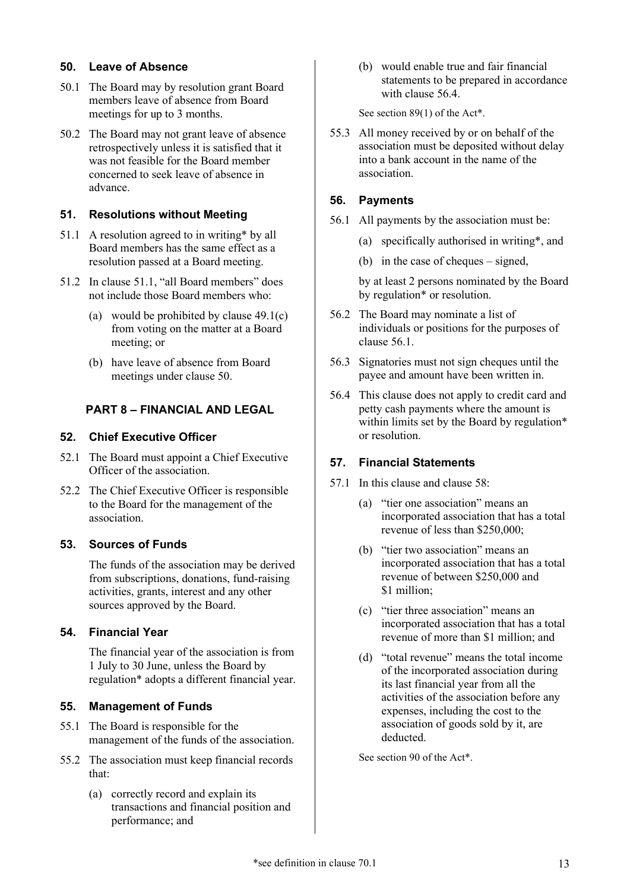# <span id="page-12-0"></span>**50. Leave of Absence**

- 50.1 The Board may by resolution grant Board members leave of absence from Board meetings for up to 3 months.
- 50.2 The Board may not grant leave of absence retrospectively unless it is satisfied that it was not feasible for the Board member concerned to seek leave of absence in advance.

# <span id="page-12-1"></span>**51. Resolutions without Meeting**

- <span id="page-12-10"></span>51.1 A resolution agreed to in [writing\\*](#page-17-3) by all Board members has the same effect as a resolution passed at a Board meeting.
- 51.2 In clause [51.1,](#page-12-10) "all Board members" does not include those Board members who:
	- (a) would be prohibited by clause [49.1\(c\)](#page-11-13) from voting on the matter at a Board meeting; or
	- (b) have leave of absence from Board meetings under clause [50.](#page-12-0)

# <span id="page-12-2"></span>**PART 8 – FINANCIAL AND LEGAL**

# <span id="page-12-3"></span>**52. Chief Executive Officer**

- 52.1 The Board must appoint a Chief Executive Officer of the association.
- 52.2 The Chief Executive Officer is responsible to the Board for the management of the association.

# <span id="page-12-4"></span>**53. Sources of Funds**

The funds of the association may be derived from subscriptions, donations, fund-raising activities, grants, interest and any other sources approved by the Board.

# <span id="page-12-5"></span>**54. Financial Year**

The financial year of the association is from 1 July to 30 June, unless the Board by [regulation\\*](#page-17-6) adopts a different financial year.

# <span id="page-12-6"></span>**55. Management of Funds**

- 55.1 The Board is responsible for the management of the funds of the association.
- <span id="page-12-13"></span>55.2 The association must keep financial records that:
	- (a) correctly record and explain its transactions and financial position and performance; and

(b) would enable true and fair financial statements to be prepared in accordance with clause [56.4.](#page-12-9)

See section 89(1) of the [Act\\*](#page-17-2).

55.3 All money received by or on behalf of the association must be deposited without delay into a bank account in the name of the association.

# <span id="page-12-7"></span>**56. Payments**

- <span id="page-12-11"></span>56.1 All payments by the association must be:
	- (a) specifically authorised in [writing\\*](#page-17-3), and
	- (b) in the case of cheques signed,

by at least 2 persons nominated by the Board by [regulation\\*](#page-17-6) or resolution.

- 56.2 The Board may nominate a list of individuals or positions for the purposes of clause [56.1.](#page-12-11)
- 56.3 Signatories must not sign cheques until the payee and amount have been written in.
- <span id="page-12-9"></span>56.4 This clause does not apply to credit card and petty cash payments where the amount is within limits set by the Board by [regulation\\*](#page-17-6) or resolution.

# <span id="page-12-8"></span>**57. Financial Statements**

- <span id="page-12-12"></span>57.1 In this clause and clause [58:](#page-13-0)
	- (a) "tier one association" means an incorporated association that has a total revenue of less than \$250,000;
	- (b) "tier two association" means an incorporated association that has a total revenue of between \$250,000 and \$1 million;
	- (c) "tier three association" means an incorporated association that has a total revenue of more than \$1 million; and
	- (d) "total revenue" means the total income of the incorporated association during its last financial year from all the activities of the association before any expenses, including the cost to the association of goods sold by it, are deducted.

See section 90 of the [Act\\*](#page-17-2).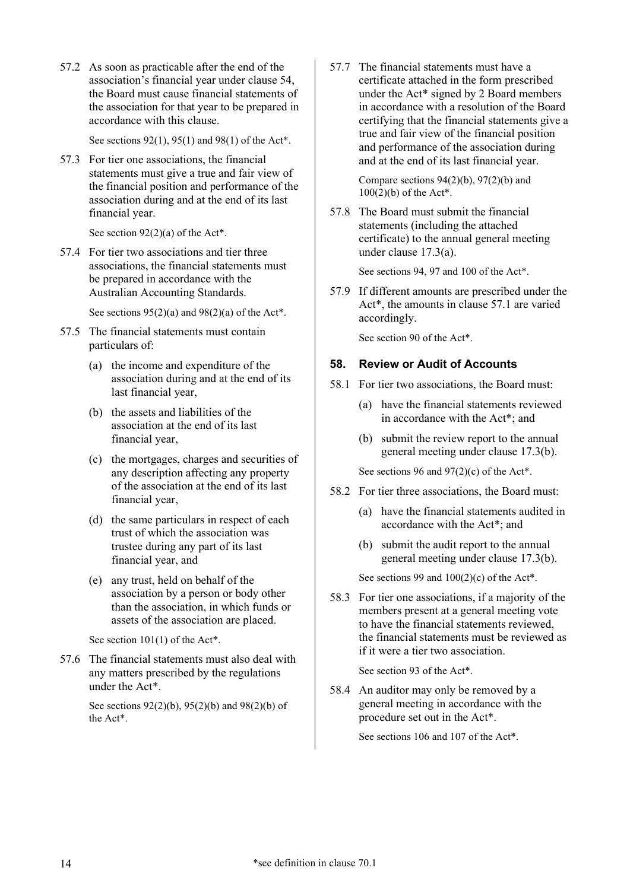57.2 As soon as practicable after the end of the association's financial year under claus[e 54,](#page-12-5) the Board must cause financial statements of the association for that year to be prepared in accordance with this clause.

See sections 92(1), 95(1) and 98(1) of the [Act\\*](#page-17-2).

57.3 For tier one associations, the financial statements must give a true and fair view of the financial position and performance of the association during and at the end of its last financial year.

See section  $92(2)(a)$  of the [Act\\*](#page-17-2).

57.4 For tier two associations and tier three associations, the financial statements must be prepared in accordance with the Australian Accounting Standards.

See sections  $95(2)(a)$  and  $98(2)(a)$  of the [Act\\*](#page-17-2).

- 57.5 The financial statements must contain particulars of:
	- (a) the income and expenditure of the association during and at the end of its last financial year,
	- (b) the assets and liabilities of the association at the end of its last financial year,
	- (c) the mortgages, charges and securities of any description affecting any property of the association at the end of its last financial year,
	- (d) the same particulars in respect of each trust of which the association was trustee during any part of its last financial year, and
	- (e) any trust, held on behalf of the association by a person or body other than the association, in which funds or assets of the association are placed.

<span id="page-13-1"></span>See section 101(1) of th[e Act\\*](#page-17-2).

57.6 The financial statements must also deal with any matters prescribed by the regulations under the [Act\\*](#page-17-2).

> See sections 92(2)(b), 95(2)(b) and 98(2)(b) of the [Act\\*](#page-17-2).

57.7 The financial statements must have a certificate attached in the form prescribed under the [Act\\*](#page-17-2) signed by 2 Board members in accordance with a resolution of the Board certifying that the financial statements give a true and fair view of the financial position and performance of the association during and at the end of its last financial year.

> Compare sections  $94(2)(b)$ ,  $97(2)(b)$  and 100(2)(b) of th[e Act\\*](#page-17-2).

57.8 The Board must submit the financial statements (including the attached certificate) to the annual general meeting under clause [17.3\(a\).](#page-4-4)

See sections 94, 97 and 100 of the [Act\\*](#page-17-2).

57.9 If different amounts are prescribed under the [Act\\*](#page-17-2), the amounts in clause [57.1](#page-12-12) are varied accordingly.

See section 90 of the [Act\\*](#page-17-2).

# <span id="page-13-0"></span>**58. Review or Audit of Accounts**

- 58.1 For tier two associations, the Board must:
	- (a) have the financial statements reviewed in accordance with the [Act\\*](#page-17-2); and
	- (b) submit the review report to the annual general meeting under clause [17.3\(b\).](#page-4-5)

See sections 96 and 97(2)(c) of the [Act\\*](#page-17-2).

- 58.2 For tier three associations, the Board must:
	- (a) have the financial statements audited in accordance with the [Act\\*](#page-17-2); and
	- (b) submit the audit report to the annual general meeting under clause [17.3\(b\).](#page-4-5)

See sections 99 and  $100(2)(c)$  of the [Act\\*](#page-17-2).

58.3 For tier one associations, if a majority of the members present at a general meeting vote to have the financial statements reviewed, the financial statements must be reviewed as if it were a tier two association.

See section 93 of the [Act\\*](#page-17-2).

58.4 An auditor may only be removed by a general meeting in accordance with the procedure set out in the [Act\\*](#page-17-2).

See sections 106 and 107 of the [Act\\*](#page-17-2).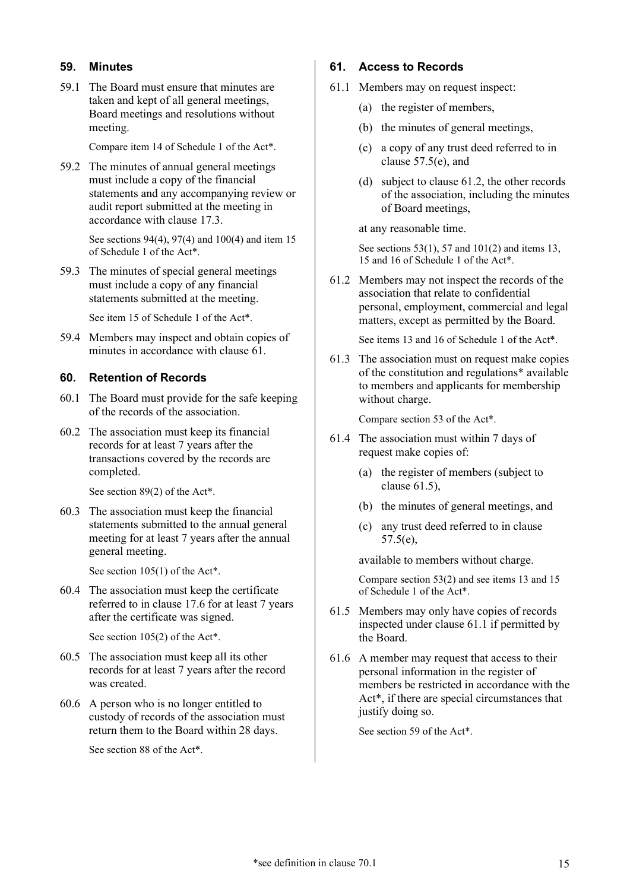# <span id="page-14-0"></span>**59. Minutes**

59.1 The Board must ensure that minutes are taken and kept of all general meetings, Board meetings and resolutions without meeting.

Compare item 14 of Schedule 1 of the [Act\\*](#page-17-2).

59.2 The minutes of annual general meetings must include a copy of the financial statements and any accompanying review or audit report submitted at the meeting in accordance with clause [17.3.](#page-4-6)

> See sections 94(4), 97(4) and 100(4) and item 15 of Schedule 1 of the [Act\\*](#page-17-2).

59.3 The minutes of special general meetings must include a copy of any financial statements submitted at the meeting.

See item 15 of Schedule 1 of the [Act\\*](#page-17-2).

59.4 Members may inspect and obtain copies of minutes in accordance with clause [61.](#page-14-2)

# <span id="page-14-1"></span>**60. Retention of Records**

- 60.1 The Board must provide for the safe keeping of the records of the association.
- 60.2 The association must keep its financial records for at least 7 years after the transactions covered by the records are completed.

See section 89(2) of th[e Act\\*](#page-17-2).

60.3 The association must keep the financial statements submitted to the annual general meeting for at least 7 years after the annual general meeting.

See section 105(1) of th[e Act\\*](#page-17-2).

60.4 The association must keep the certificate referred to in clause [17.6](#page-4-7) for at least 7 years after the certificate was signed.

See section 105(2) of th[e Act\\*](#page-17-2).

- 60.5 The association must keep all its other records for at least 7 years after the record was created.
- 60.6 A person who is no longer entitled to custody of records of the association must return them to the Board within 28 days.

See section 88 of the [Act\\*](#page-17-2).

#### <span id="page-14-2"></span>**61. Access to Records**

- <span id="page-14-5"></span>61.1 Members may on request inspect:
	- (a) the register of members,
	- (b) the minutes of general meetings,
	- (c) a copy of any trust deed referred to in clause [57.5\(e\),](#page-13-1) and
	- (d) subject to clause [61.2,](#page-14-3) the other records of the association, including the minutes of Board meetings,

at any reasonable time.

See sections 53(1), 57 and 101(2) and items 13, 15 and 16 of Schedule 1 of the [Act\\*](#page-17-2).

<span id="page-14-3"></span>61.2 Members may not inspect the records of the association that relate to confidential personal, employment, commercial and legal matters, except as permitted by the Board.

See items 13 and 16 of Schedule 1 of the [Act\\*](#page-17-2).

61.3 The association must on request make copies of the constitution and [regulations\\*](#page-17-4) available to members and applicants for membership without charge.

Compare section 53 of the [Act\\*](#page-17-2).

- 61.4 The association must within 7 days of request make copies of:
	- (a) the register of members (subject to clause [61.5\)](#page-14-4),
	- (b) the minutes of general meetings, and
	- (c) any trust deed referred to in clause [57.5\(e\),](#page-13-1)

available to members without charge.

Compare section 53(2) and see items 13 and 15 of Schedule 1 of the [Act\\*](#page-17-2).

- <span id="page-14-4"></span>61.5 Members may only have copies of records inspected under clause [61.1](#page-14-5) if permitted by the Board.
- 61.6 A member may request that access to their personal information in the register of members be restricted in accordance with the [Act\\*](#page-17-2), if there are special circumstances that justify doing so.

See section 59 of the [Act\\*](#page-17-2).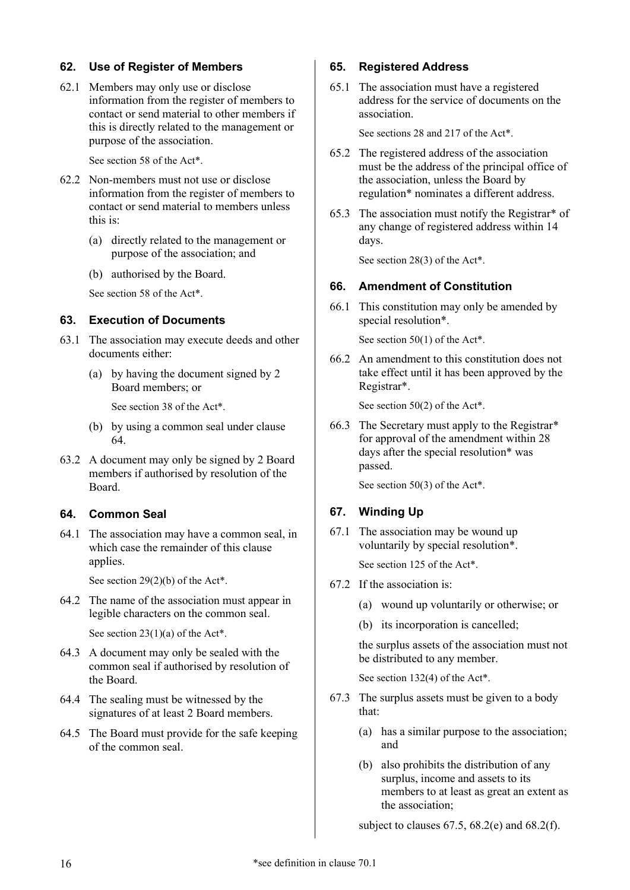# <span id="page-15-0"></span>**62. Use of Register of Members**

62.1 Members may only use or disclose information from the register of members to contact or send material to other members if this is directly related to the management or purpose of the association.

See section 58 of the [Act\\*](#page-17-2).

- 62.2 Non-members must not use or disclose information from the register of members to contact or send material to members unless this is:
	- (a) directly related to the management or purpose of the association; and
	- (b) authorised by the Board.

See section 58 of the [Act\\*](#page-17-2).

#### <span id="page-15-9"></span><span id="page-15-1"></span>**63. Execution of Documents**

- 63.1 The association may execute deeds and other documents either:
	- (a) by having the document signed by 2 Board members; or

See section 38 of the [Act\\*](#page-17-2).

- (b) by using a common seal under clause [64.](#page-15-2)
- 63.2 A document may only be signed by 2 Board members if authorised by resolution of the Board.

# <span id="page-15-2"></span>**64. Common Seal**

64.1 The association may have a common seal, in which case the remainder of this clause applies.

See section 29(2)(b) of the [Act\\*](#page-17-2).

<span id="page-15-7"></span>64.2 The name of the association must appear in legible characters on the common seal.

See section  $23(1)(a)$  of the [Act\\*](#page-17-2).

- 64.3 A document may only be sealed with the common seal if authorised by resolution of the Board.
- 64.4 The sealing must be witnessed by the signatures of at least 2 Board members.
- 64.5 The Board must provide for the safe keeping of the common seal.

#### <span id="page-15-3"></span>**65. Registered Address**

65.1 The association must have a registered address for the service of documents on the association.

See sections 28 and 217 of th[e Act\\*](#page-17-2).

- 65.2 The registered address of the association must be the address of the principal office of the association, unless the Board by [regulation\\*](#page-17-6) nominates a different address.
- 65.3 The association must notify the [Registrar\\*](#page-17-8) of any change of registered address within 14 days.

See section 28(3) of the [Act\\*](#page-17-2).

# <span id="page-15-8"></span><span id="page-15-4"></span>**66. Amendment of Constitution**

66.1 This constitution may only be amended by [special resolution\\*](#page-17-9).

See section 50(1) of the [Act\\*](#page-17-2).

66.2 An amendment to this constitution does not take effect until it has been approved by the [Registrar\\*](#page-17-8).

See section 50(2) of the [Act\\*](#page-17-2).

<span id="page-15-10"></span>66.3 The Secretary must apply to the [Registrar\\*](#page-17-8) for approval of the amendment within 28 days after the [special resolution\\*](#page-17-9) was passed.

See section 50(3) of the [Act\\*](#page-17-2).

# <span id="page-15-5"></span>**67. Winding Up**

67.1 The association may be wound up voluntarily by [special resolution\\*](#page-17-9).

See section 125 of the [Act\\*](#page-17-2).

- <span id="page-15-6"></span>67.2 If the association is:
	- (a) wound up voluntarily or otherwise; or
	- (b) its incorporation is cancelled;

the surplus assets of the association must not be distributed to any member.

See section 132(4) of the [Act\\*](#page-17-2).

- 67.3 The surplus assets must be given to a body that:
	- (a) has a similar purpose to the association; and
	- (b) also prohibits the distribution of any surplus, income and assets to its members to at least as great an extent as the association;

subject to clauses  $67.5$ ,  $68.2$ (e) and  $68.2$ (f).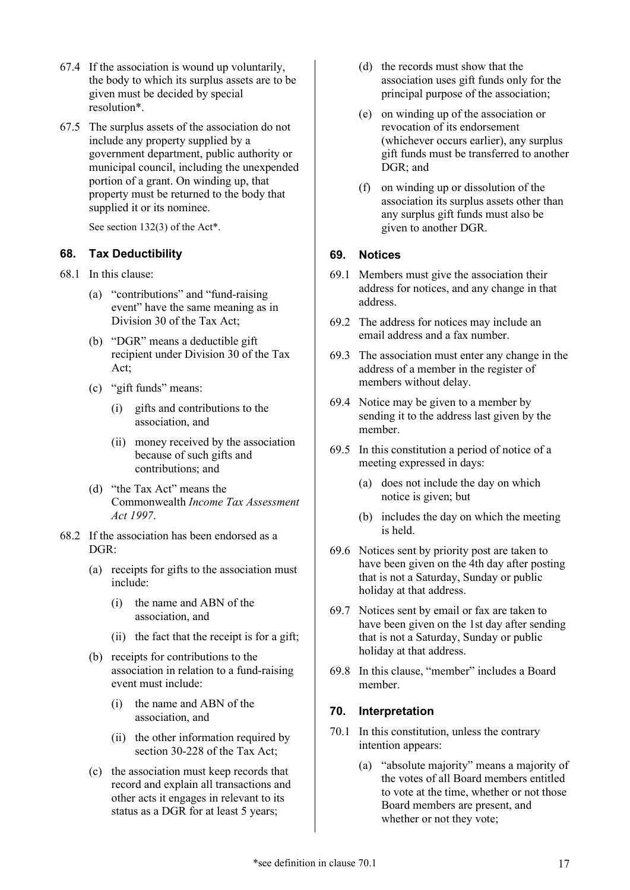- 67.4 If the association is wound up voluntarily, the body to which its surplus assets are to be given must be decided by [special](#page-17-9)  [resolution\\*](#page-17-9).
- <span id="page-16-5"></span>67.5 The surplus assets of the association do not include any property supplied by a government department, public authority or municipal council, including the unexpended portion of a grant. On winding up, that property must be returned to the body that supplied it or its nominee.

See section 132(3) of th[e Act\\*](#page-17-2).

# <span id="page-16-0"></span>**68. Tax Deductibility**

- 68.1 In this clause:
	- (a) "contributions" and "fund-raising event" have the same meaning as in Division 30 of the Tax Act;
	- (b) "DGR" means a deductible gift recipient under Division 30 of the Tax Act;
	- (c) "gift funds" means:
		- (i) gifts and contributions to the association, and
		- (ii) money received by the association because of such gifts and contributions; and
	- (d) "the Tax Act" means the Commonwealth *Income Tax Assessment Act 1997*.
- 68.2 If the association has been endorsed as a  $DGR$ 
	- (a) receipts for gifts to the association must include:
		- (i) the name and ABN of the association, and
		- (ii) the fact that the receipt is for a gift;
	- (b) receipts for contributions to the association in relation to a fund-raising event must include:
		- (i) the name and ABN of the association, and
		- (ii) the other information required by section 30-228 of the Tax Act;
	- (c) the association must keep records that record and explain all transactions and other acts it engages in relevant to its status as a DGR for at least 5 years;
- (d) the records must show that the association uses gift funds only for the principal purpose of the association;
- <span id="page-16-6"></span>(e) on winding up of the association or revocation of its endorsement (whichever occurs earlier), any surplus gift funds must be transferred to another DGR; and
- <span id="page-16-7"></span>(f) on winding up or dissolution of the association its surplus assets other than any surplus gift funds must also be given to another DGR.

#### <span id="page-16-1"></span>**69. Notices**

- 69.1 Members must give the association their address for notices, and any change in that address.
- 69.2 The address for notices may include an email address and a fax number.
- 69.3 The association must enter any change in the address of a member in the register of members without delay.
- 69.4 Notice may be given to a member by sending it to the address last given by the member.
- 69.5 In this constitution a period of notice of a meeting expressed in days:
	- (a) does not include the day on which notice is given; but
	- (b) includes the day on which the meeting is held.
- 69.6 Notices sent by priority post are taken to have been given on the 4th day after posting that is not a Saturday, Sunday or public holiday at that address.
- 69.7 Notices sent by email or fax are taken to have been given on the 1st day after sending that is not a Saturday, Sunday or public holiday at that address.
- 69.8 In this clause, "member" includes a Board member.

#### <span id="page-16-2"></span>**70. Interpretation**

- <span id="page-16-8"></span><span id="page-16-4"></span><span id="page-16-3"></span>70.1 In this constitution, unless the contrary intention appears:
	- (a) "absolute majority" means a majority of the votes of all Board members entitled to vote at the time, whether or not those Board members are present, and whether or not they vote;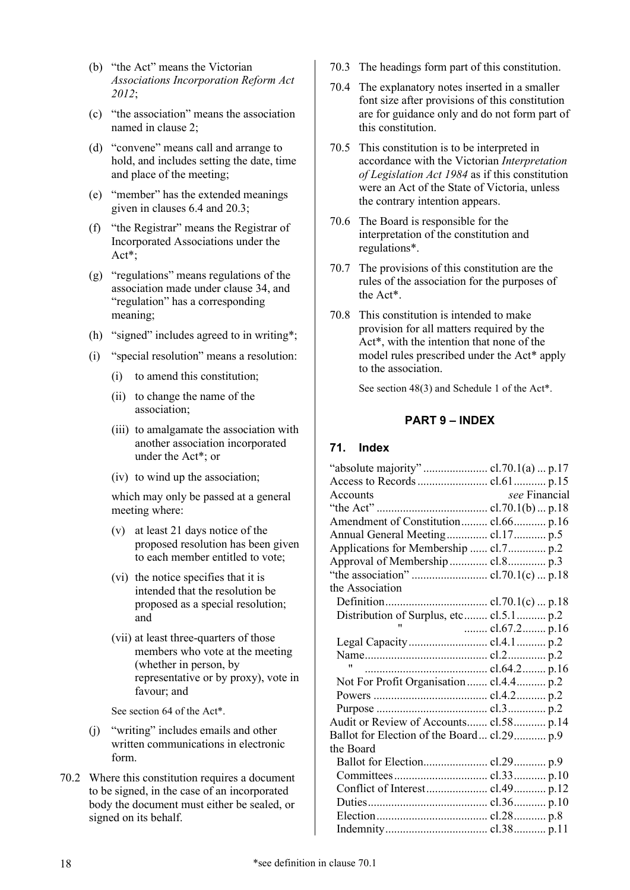- <span id="page-17-10"></span><span id="page-17-2"></span>(b) "the Act" means the Victorian *Associations Incorporation Reform Act 2012*;
- <span id="page-17-11"></span>(c) "the association" means the association named in clause [2;](#page-1-1)
- <span id="page-17-12"></span><span id="page-17-7"></span>(d) "convene" means call and arrange to hold, and includes setting the date, time and place of the meeting;
- <span id="page-17-13"></span>(e) "member" has the extended meanings given in clauses [6.4](#page-1-11) and [20.3;](#page-5-6)
- <span id="page-17-14"></span><span id="page-17-8"></span>(f) "the Registrar" means the Registrar of Incorporated Associations under the [Act\\*](#page-17-2);
- <span id="page-17-15"></span><span id="page-17-6"></span><span id="page-17-4"></span>(g) "regulations" means regulations of the association made under clause [34,](#page-9-3) and "regulation" has a corresponding meaning;
- <span id="page-17-16"></span><span id="page-17-5"></span>(h) "signed" includes agreed to in [writing\\*](#page-17-3);
- <span id="page-17-9"></span>(i) "special resolution" means a resolution:
	- (i) to amend this constitution;
	- (ii) to change the name of the association;
	- (iii) to amalgamate the association with another association incorporated under the [Act\\*](#page-17-2); or
	- (iv) to wind up the association;

which may only be passed at a general meeting where:

- (v) at least 21 days notice of the proposed resolution has been given to each member entitled to vote;
- (vi) the notice specifies that it is intended that the resolution be proposed as a special resolution; and
- (vii) at least three-quarters of those members who vote at the meeting (whether in person, by representative or by proxy), vote in favour; and

<span id="page-17-3"></span>See section 64 of the [Act\\*](#page-17-2).

- <span id="page-17-17"></span>(j) "writing" includes emails and other written communications in electronic form.
- 70.2 Where this constitution requires a document to be signed, in the case of an incorporated body the document must either be sealed, or signed on its behalf.
- 70.3 The headings form part of this constitution.
- 70.4 The explanatory notes inserted in a smaller font size after provisions of this constitution are for guidance only and do not form part of this constitution.
- 70.5 This constitution is to be interpreted in accordance with the Victorian *Interpretation of Legislation Act 1984* as if this constitution were an Act of the State of Victoria, unless the contrary intention appears.
- 70.6 The Board is responsible for the interpretation of the constitution and [regulations\\*](#page-17-4).
- 70.7 The provisions of this constitution are the rules of the association for the purposes of the [Act\\*](#page-17-2).
- 70.8 This constitution is intended to make provision for all matters required by the [Act\\*](#page-17-2), with the intention that none of the model rules prescribed under the [Act\\*](#page-17-2) apply to the association.

<span id="page-17-0"></span>See section 48(3) and Schedule 1 of the [Act\\*](#page-17-2).

#### **PART 9 – INDEX**

#### <span id="page-17-1"></span>**71. Index**

| see Financial<br>Accounts                  |
|--------------------------------------------|
|                                            |
| Amendment of Constitution cl.66 p.16       |
| Annual General Meeting cl.17 p.5           |
|                                            |
|                                            |
|                                            |
| the Association                            |
|                                            |
| Distribution of Surplus, etc cl.5.1 p.2    |
| "<br>cl.67.2 p.16                          |
|                                            |
|                                            |
|                                            |
| Not For Profit Organisation  cl.4.4  p.2   |
|                                            |
|                                            |
| Audit or Review of Accounts cl.58 p.14     |
| Ballot for Election of the Board cl.29 p.9 |
| the Board                                  |
|                                            |
|                                            |
|                                            |
|                                            |
|                                            |
|                                            |
|                                            |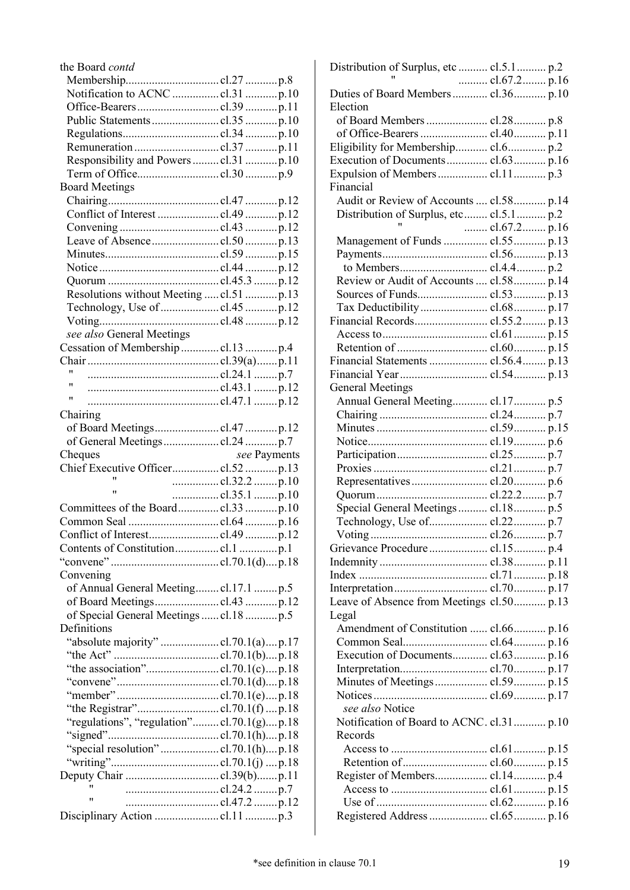| the Board contd                           |  |  |              |  |
|-------------------------------------------|--|--|--------------|--|
|                                           |  |  |              |  |
|                                           |  |  |              |  |
|                                           |  |  |              |  |
|                                           |  |  |              |  |
|                                           |  |  |              |  |
|                                           |  |  |              |  |
|                                           |  |  |              |  |
|                                           |  |  |              |  |
| <b>Board Meetings</b>                     |  |  |              |  |
|                                           |  |  |              |  |
|                                           |  |  |              |  |
|                                           |  |  |              |  |
|                                           |  |  |              |  |
|                                           |  |  |              |  |
|                                           |  |  |              |  |
|                                           |  |  |              |  |
| Resolutions without Meeting  cl.51  p.13  |  |  |              |  |
|                                           |  |  |              |  |
|                                           |  |  |              |  |
|                                           |  |  |              |  |
| see also General Meetings                 |  |  |              |  |
|                                           |  |  |              |  |
| ,,,                                       |  |  |              |  |
| "                                         |  |  |              |  |
| 11                                        |  |  |              |  |
|                                           |  |  |              |  |
| Chairing                                  |  |  |              |  |
|                                           |  |  |              |  |
|                                           |  |  |              |  |
|                                           |  |  |              |  |
| Cheques                                   |  |  | see Payments |  |
|                                           |  |  |              |  |
| "                                         |  |  |              |  |
| $^{\dagger}$<br>cl.35.1 p.10              |  |  |              |  |
|                                           |  |  |              |  |
| Common Seal cl.64 p.16                    |  |  |              |  |
|                                           |  |  |              |  |
|                                           |  |  |              |  |
|                                           |  |  |              |  |
| Convening                                 |  |  |              |  |
| of Annual General Meeting cl.17.1  p.5    |  |  |              |  |
|                                           |  |  |              |  |
| of Special General Meetings cl.18 p.5     |  |  |              |  |
| Definitions                               |  |  |              |  |
| "absolute majority" cl.70.1(a)p.17        |  |  |              |  |
|                                           |  |  |              |  |
|                                           |  |  |              |  |
|                                           |  |  |              |  |
|                                           |  |  |              |  |
|                                           |  |  |              |  |
|                                           |  |  |              |  |
| "regulations", "regulation"cl.70.1(g)p.18 |  |  |              |  |
| "special resolution"cl.70.1(h)p.18        |  |  |              |  |
|                                           |  |  |              |  |
|                                           |  |  |              |  |
| 11                                        |  |  |              |  |
| $^{\prime \prime}$                        |  |  |              |  |

| Distribution of Surplus, etc  cl.5.1 p.2  |              |
|-------------------------------------------|--------------|
|                                           | cl.67.2 p.16 |
| Duties of Board Members  cl.36 p.10       |              |
| Election                                  |              |
| of Board Members  cl.28 p.8               |              |
|                                           |              |
| Eligibility for Membership cl.6 p.2       |              |
| Execution of Documents cl.63 p.16         |              |
| Expulsion of Members  cl.11 p.3           |              |
| Financial                                 |              |
| Audit or Review of Accounts  cl.58 p.14   |              |
| Distribution of Surplus, etc cl.5.1 p.2   |              |
|                                           | cl.67.2 p.16 |
| Management of Funds  cl.55 p.13           |              |
|                                           |              |
|                                           |              |
|                                           |              |
| Review or Audit of Accounts  cl.58 p.14   |              |
|                                           |              |
|                                           |              |
|                                           |              |
|                                           |              |
|                                           |              |
| Financial Statements  cl.56.4 p.13        |              |
|                                           |              |
| <b>General Meetings</b>                   |              |
| Annual General Meeting cl.17 p.5          |              |
|                                           |              |
|                                           |              |
|                                           |              |
|                                           |              |
|                                           |              |
|                                           |              |
|                                           |              |
|                                           |              |
| Special General Meetings  cl.18  p.5      |              |
|                                           |              |
|                                           |              |
|                                           |              |
|                                           |              |
|                                           |              |
|                                           |              |
| Leave of Absence from Meetings cl.50 p.13 |              |
| Legal                                     |              |
| Amendment of Constitution  cl.66 p.16     |              |
|                                           |              |
| Execution of Documents cl.63 p.16         |              |
|                                           |              |
|                                           |              |
|                                           |              |
| see also Notice                           |              |
| Notification of Board to ACNC. cl.31 p.10 |              |
| Records                                   |              |
|                                           |              |
|                                           |              |
|                                           |              |
|                                           |              |
|                                           |              |
|                                           |              |
| Registered Address  cl.65 p.16            |              |